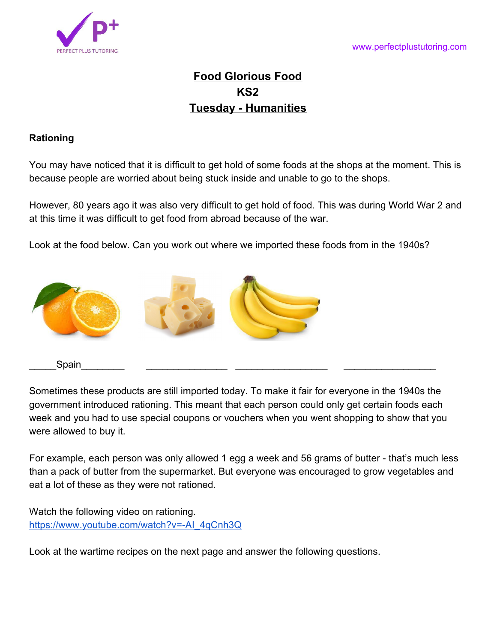

## **Food Glorious Food KS2 Tuesday - Humanities**

## **Rationing**

You may have noticed that it is difficult to get hold of some foods at the shops at the moment. This is because people are worried about being stuck inside and unable to go to the shops.

However, 80 years ago it was also very difficult to get hold of food. This was during World War 2 and at this time it was difficult to get food from abroad because of the war.

Look at the food below. Can you work out where we imported these foods from in the 1940s?



Sometimes these products are still imported today. To make it fair for everyone in the 1940s the government introduced rationing. This meant that each person could only get certain foods each week and you had to use special coupons or vouchers when you went shopping to show that you were allowed to buy it.

For example, each person was only allowed 1 egg a week and 56 grams of butter - that's much less than a pack of butter from the supermarket. But everyone was encouraged to grow vegetables and eat a lot of these as they were not rationed.

Watch the following video on rationing. [https://www.youtube.com/watch?v=-AI\\_4qCnh3Q](https://www.youtube.com/watch?v=-AI_4qCnh3Q)

Look at the wartime recipes on the next page and answer the following questions.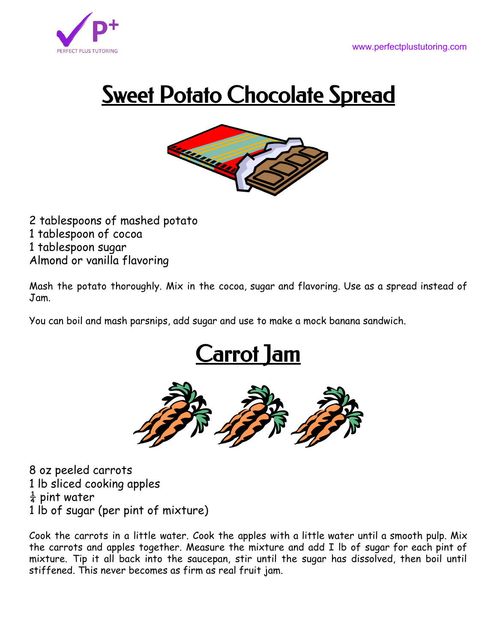

## **<u>Sweet Potato Chocolate Spread</u>**



 tablespoons of mashed potato tablespoon of cocoa tablespoon sugar Almond or vanilla flavoring

Mash the potato thoroughly. Mix in the cocoa, sugar and flavoring. Use as a spread instead of Jam.

You can boil and mash parsnips, add sugar and use to make a mock banana sandwich.





 oz peeled carrots lb sliced cooking apples  $\frac{1}{4}$  pint water lb of sugar (per pint of mixture)

Cook the carrots in a little water. Cook the apples with a little water until a smooth pulp. Mix the carrots and apples together. Measure the mixture and add I lb of sugar for each pint of mixture. Tip it all back into the saucepan, stir until the sugar has dissolved, then boil until stiffened. This never becomes as firm as real fruit jam.